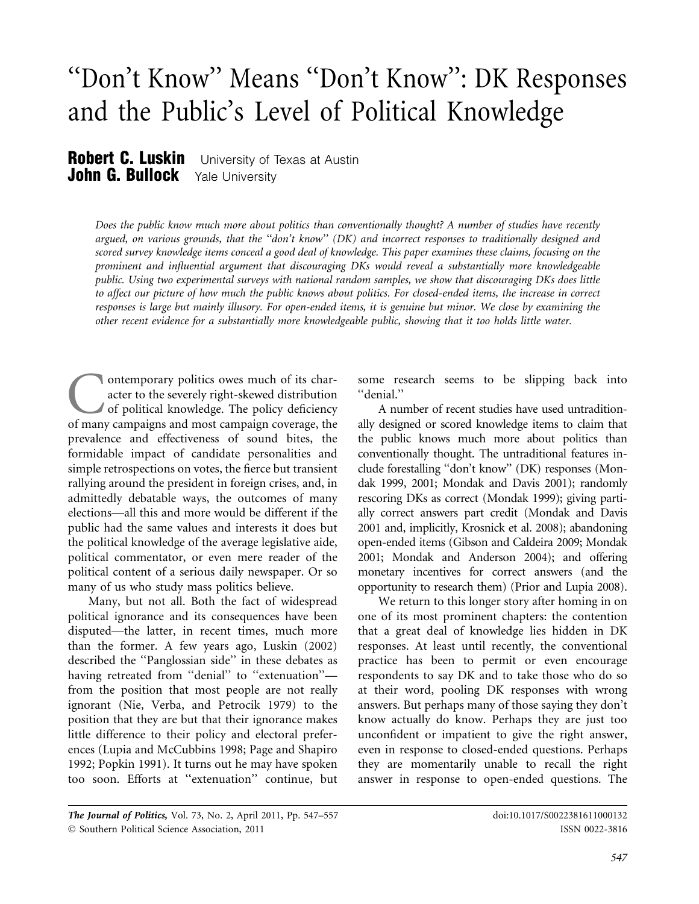# ''Don't Know'' Means ''Don't Know'': DK Responses and the Public's Level of Political Knowledge

**Robert C. Luskin** University of Texas at Austin John G. Bullock Yale University

Does the public know much more about politics than conventionally thought? A number of studies have recently argued, on various grounds, that the ''don't know'' (DK) and incorrect responses to traditionally designed and scored survey knowledge items conceal a good deal of knowledge. This paper examines these claims, focusing on the prominent and influential argument that discouraging DKs would reveal a substantially more knowledgeable public. Using two experimental surveys with national random samples, we show that discouraging DKs does little to affect our picture of how much the public knows about politics. For closed-ended items, the increase in correct responses is large but mainly illusory. For open-ended items, it is genuine but minor. We close by examining the other recent evidence for a substantially more knowledgeable public, showing that it too holds little water.

**Contemporary politics owes much of its character to the severely right-skewed distribution** of political knowledge. The policy deficiency of many campaigns and most campaign coverage, the acter to the severely right-skewed distribution of political knowledge. The policy deficiency prevalence and effectiveness of sound bites, the formidable impact of candidate personalities and simple retrospections on votes, the fierce but transient rallying around the president in foreign crises, and, in admittedly debatable ways, the outcomes of many elections—all this and more would be different if the public had the same values and interests it does but the political knowledge of the average legislative aide, political commentator, or even mere reader of the political content of a serious daily newspaper. Or so many of us who study mass politics believe.

Many, but not all. Both the fact of widespread political ignorance and its consequences have been disputed—the latter, in recent times, much more than the former. A few years ago, Luskin (2002) described the ''Panglossian side'' in these debates as having retreated from "denial" to "extenuation"from the position that most people are not really ignorant (Nie, Verba, and Petrocik 1979) to the position that they are but that their ignorance makes little difference to their policy and electoral preferences (Lupia and McCubbins 1998; Page and Shapiro 1992; Popkin 1991). It turns out he may have spoken too soon. Efforts at ''extenuation'' continue, but some research seems to be slipping back into ''denial.''

A number of recent studies have used untraditionally designed or scored knowledge items to claim that the public knows much more about politics than conventionally thought. The untraditional features include forestalling ''don't know'' (DK) responses (Mondak 1999, 2001; Mondak and Davis 2001); randomly rescoring DKs as correct (Mondak 1999); giving partially correct answers part credit (Mondak and Davis 2001 and, implicitly, Krosnick et al. 2008); abandoning open-ended items (Gibson and Caldeira 2009; Mondak 2001; Mondak and Anderson 2004); and offering monetary incentives for correct answers (and the opportunity to research them) (Prior and Lupia 2008).

We return to this longer story after homing in on one of its most prominent chapters: the contention that a great deal of knowledge lies hidden in DK responses. At least until recently, the conventional practice has been to permit or even encourage respondents to say DK and to take those who do so at their word, pooling DK responses with wrong answers. But perhaps many of those saying they don't know actually do know. Perhaps they are just too unconfident or impatient to give the right answer, even in response to closed-ended questions. Perhaps they are momentarily unable to recall the right answer in response to open-ended questions. The

The Journal of Politics, Vol. 73, No. 2, April 2011, Pp. 547–557 doi:10.1017/S0022381611000132 C Southern Political Science Association, 2011 **ISSN 0022-3816**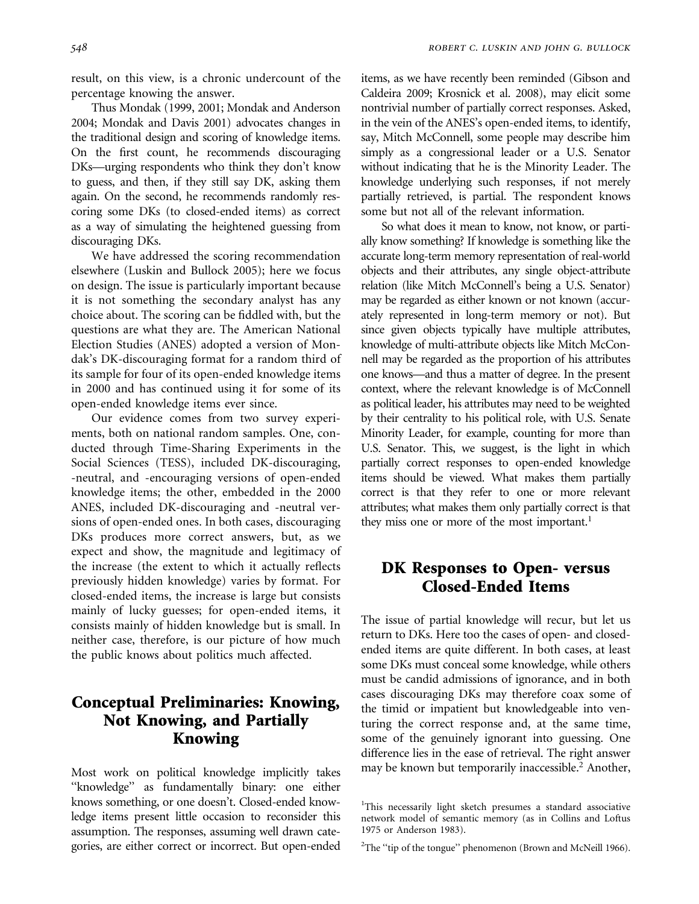result, on this view, is a chronic undercount of the percentage knowing the answer.

Thus Mondak (1999, 2001; Mondak and Anderson 2004; Mondak and Davis 2001) advocates changes in the traditional design and scoring of knowledge items. On the first count, he recommends discouraging DKs—urging respondents who think they don't know to guess, and then, if they still say DK, asking them again. On the second, he recommends randomly rescoring some DKs (to closed-ended items) as correct as a way of simulating the heightened guessing from discouraging DKs.

We have addressed the scoring recommendation elsewhere (Luskin and Bullock 2005); here we focus on design. The issue is particularly important because it is not something the secondary analyst has any choice about. The scoring can be fiddled with, but the questions are what they are. The American National Election Studies (ANES) adopted a version of Mondak's DK-discouraging format for a random third of its sample for four of its open-ended knowledge items in 2000 and has continued using it for some of its open-ended knowledge items ever since.

Our evidence comes from two survey experiments, both on national random samples. One, conducted through Time-Sharing Experiments in the Social Sciences (TESS), included DK-discouraging, -neutral, and -encouraging versions of open-ended knowledge items; the other, embedded in the 2000 ANES, included DK-discouraging and -neutral versions of open-ended ones. In both cases, discouraging DKs produces more correct answers, but, as we expect and show, the magnitude and legitimacy of the increase (the extent to which it actually reflects previously hidden knowledge) varies by format. For closed-ended items, the increase is large but consists mainly of lucky guesses; for open-ended items, it consists mainly of hidden knowledge but is small. In neither case, therefore, is our picture of how much the public knows about politics much affected.

# Conceptual Preliminaries: Knowing, Not Knowing, and Partially Knowing

Most work on political knowledge implicitly takes "knowledge" as fundamentally binary: one either knows something, or one doesn't. Closed-ended knowledge items present little occasion to reconsider this assumption. The responses, assuming well drawn categories, are either correct or incorrect. But open-ended items, as we have recently been reminded (Gibson and Caldeira 2009; Krosnick et al. 2008), may elicit some nontrivial number of partially correct responses. Asked, in the vein of the ANES's open-ended items, to identify, say, Mitch McConnell, some people may describe him simply as a congressional leader or a U.S. Senator without indicating that he is the Minority Leader. The knowledge underlying such responses, if not merely partially retrieved, is partial. The respondent knows some but not all of the relevant information.

So what does it mean to know, not know, or partially know something? If knowledge is something like the accurate long-term memory representation of real-world objects and their attributes, any single object-attribute relation (like Mitch McConnell's being a U.S. Senator) may be regarded as either known or not known (accurately represented in long-term memory or not). But since given objects typically have multiple attributes, knowledge of multi-attribute objects like Mitch McConnell may be regarded as the proportion of his attributes one knows—and thus a matter of degree. In the present context, where the relevant knowledge is of McConnell as political leader, his attributes may need to be weighted by their centrality to his political role, with U.S. Senate Minority Leader, for example, counting for more than U.S. Senator. This, we suggest, is the light in which partially correct responses to open-ended knowledge items should be viewed. What makes them partially correct is that they refer to one or more relevant attributes; what makes them only partially correct is that they miss one or more of the most important.<sup>1</sup>

## DK Responses to Open- versus Closed-Ended Items

The issue of partial knowledge will recur, but let us return to DKs. Here too the cases of open- and closedended items are quite different. In both cases, at least some DKs must conceal some knowledge, while others must be candid admissions of ignorance, and in both cases discouraging DKs may therefore coax some of the timid or impatient but knowledgeable into venturing the correct response and, at the same time, some of the genuinely ignorant into guessing. One difference lies in the ease of retrieval. The right answer may be known but temporarily inaccessible.<sup>2</sup> Another,

<sup>&</sup>lt;sup>1</sup>This necessarily light sketch presumes a standard associative network model of semantic memory (as in Collins and Loftus 1975 or Anderson 1983).

<sup>&</sup>lt;sup>2</sup>The "tip of the tongue" phenomenon (Brown and McNeill 1966).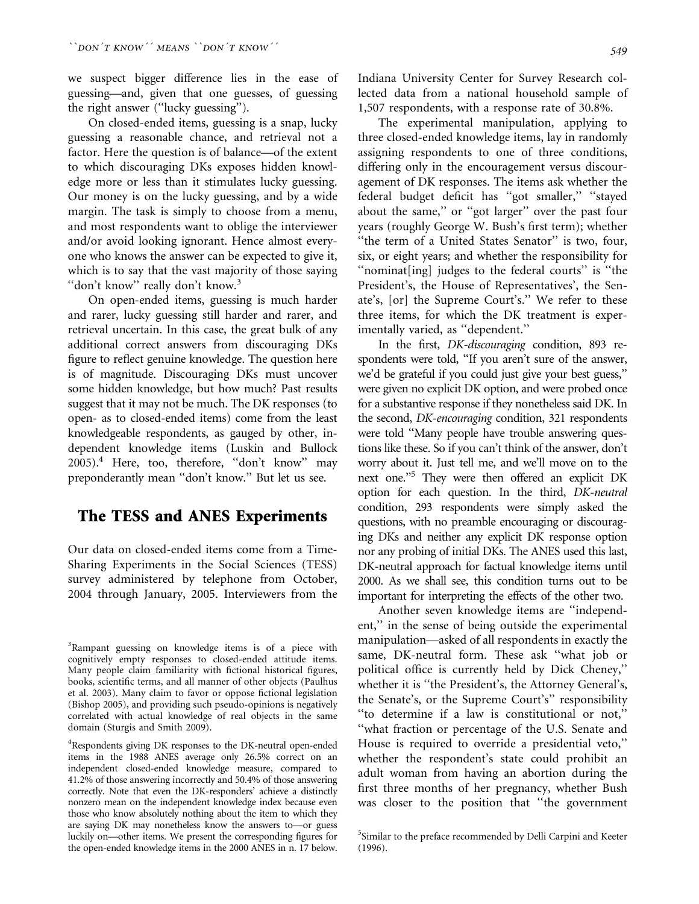we suspect bigger difference lies in the ease of guessing—and, given that one guesses, of guessing the right answer (''lucky guessing'').

On closed-ended items, guessing is a snap, lucky guessing a reasonable chance, and retrieval not a factor. Here the question is of balance—of the extent to which discouraging DKs exposes hidden knowledge more or less than it stimulates lucky guessing. Our money is on the lucky guessing, and by a wide margin. The task is simply to choose from a menu, and most respondents want to oblige the interviewer and/or avoid looking ignorant. Hence almost everyone who knows the answer can be expected to give it, which is to say that the vast majority of those saying "don't know" really don't know.<sup>3</sup>

On open-ended items, guessing is much harder and rarer, lucky guessing still harder and rarer, and retrieval uncertain. In this case, the great bulk of any additional correct answers from discouraging DKs figure to reflect genuine knowledge. The question here is of magnitude. Discouraging DKs must uncover some hidden knowledge, but how much? Past results suggest that it may not be much. The DK responses (to open- as to closed-ended items) come from the least knowledgeable respondents, as gauged by other, independent knowledge items (Luskin and Bullock 2005).4 Here, too, therefore, ''don't know'' may preponderantly mean ''don't know.'' But let us see.

### The TESS and ANES Experiments

Our data on closed-ended items come from a Time-Sharing Experiments in the Social Sciences (TESS) survey administered by telephone from October, 2004 through January, 2005. Interviewers from the

4 Respondents giving DK responses to the DK-neutral open-ended items in the 1988 ANES average only 26.5% correct on an independent closed-ended knowledge measure, compared to 41.2% of those answering incorrectly and 50.4% of those answering correctly. Note that even the DK-responders' achieve a distinctly nonzero mean on the independent knowledge index because even those who know absolutely nothing about the item to which they are saying DK may nonetheless know the answers to—or guess luckily on—other items. We present the corresponding figures for the open-ended knowledge items in the 2000 ANES in n. 17 below. Indiana University Center for Survey Research collected data from a national household sample of 1,507 respondents, with a response rate of 30.8%.

The experimental manipulation, applying to three closed-ended knowledge items, lay in randomly assigning respondents to one of three conditions, differing only in the encouragement versus discouragement of DK responses. The items ask whether the federal budget deficit has ''got smaller,'' ''stayed about the same,'' or ''got larger'' over the past four years (roughly George W. Bush's first term); whether "the term of a United States Senator" is two, four, six, or eight years; and whether the responsibility for ''nominat[ing] judges to the federal courts'' is ''the President's, the House of Representatives', the Senate's, [or] the Supreme Court's.'' We refer to these three items, for which the DK treatment is experimentally varied, as ''dependent.''

In the first, DK-discouraging condition, 893 respondents were told, ''If you aren't sure of the answer, we'd be grateful if you could just give your best guess,'' were given no explicit DK option, and were probed once for a substantive response if they nonetheless said DK. In the second, DK-encouraging condition, 321 respondents were told ''Many people have trouble answering questions like these. So if you can't think of the answer, don't worry about it. Just tell me, and we'll move on to the next one."<sup>5</sup> They were then offered an explicit DK option for each question. In the third, DK-neutral condition, 293 respondents were simply asked the questions, with no preamble encouraging or discouraging DKs and neither any explicit DK response option nor any probing of initial DKs. The ANES used this last, DK-neutral approach for factual knowledge items until 2000. As we shall see, this condition turns out to be important for interpreting the effects of the other two.

Another seven knowledge items are ''independent,'' in the sense of being outside the experimental manipulation—asked of all respondents in exactly the same, DK-neutral form. These ask ''what job or political office is currently held by Dick Cheney,'' whether it is ''the President's, the Attorney General's, the Senate's, or the Supreme Court's'' responsibility ''to determine if a law is constitutional or not,'' ''what fraction or percentage of the U.S. Senate and House is required to override a presidential veto,'' whether the respondent's state could prohibit an adult woman from having an abortion during the first three months of her pregnancy, whether Bush was closer to the position that ''the government

<sup>&</sup>lt;sup>3</sup>Rampant guessing on knowledge items is of a piece with cognitively empty responses to closed-ended attitude items. Many people claim familiarity with fictional historical figures, books, scientific terms, and all manner of other objects (Paulhus et al. 2003). Many claim to favor or oppose fictional legislation (Bishop 2005), and providing such pseudo-opinions is negatively correlated with actual knowledge of real objects in the same domain (Sturgis and Smith 2009).

<sup>&</sup>lt;sup>5</sup>Similar to the preface recommended by Delli Carpini and Keeter (1996).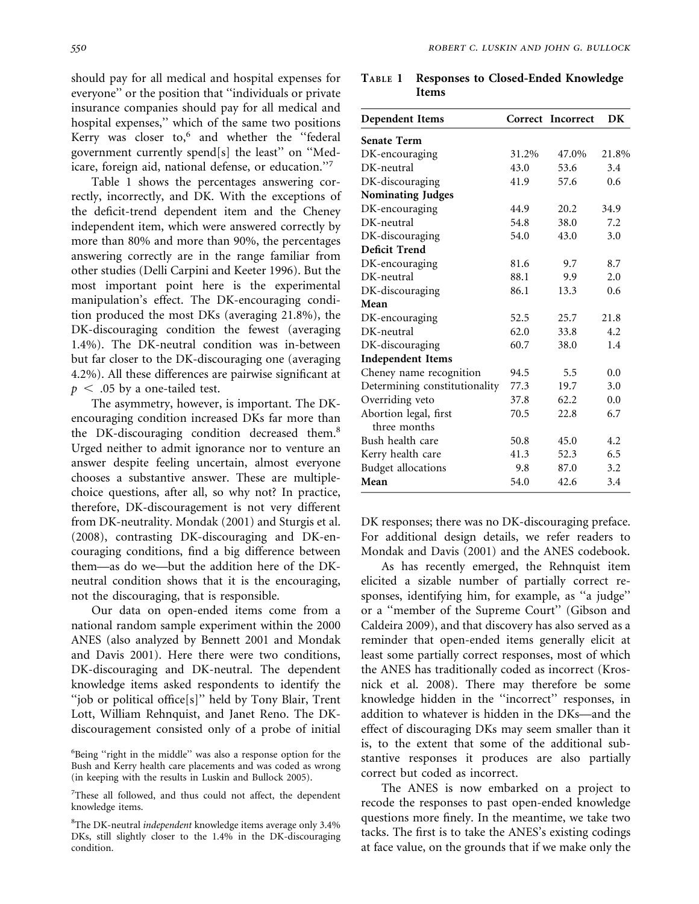should pay for all medical and hospital expenses for everyone'' or the position that ''individuals or private insurance companies should pay for all medical and hospital expenses,'' which of the same two positions Kerry was closer to,<sup>6</sup> and whether the "federal government currently spend[s] the least'' on ''Medicare, foreign aid, national defense, or education.''7

Table 1 shows the percentages answering correctly, incorrectly, and DK. With the exceptions of the deficit-trend dependent item and the Cheney independent item, which were answered correctly by more than 80% and more than 90%, the percentages answering correctly are in the range familiar from other studies (Delli Carpini and Keeter 1996). But the most important point here is the experimental manipulation's effect. The DK-encouraging condition produced the most DKs (averaging 21.8%), the DK-discouraging condition the fewest (averaging 1.4%). The DK-neutral condition was in-between but far closer to the DK-discouraging one (averaging 4.2%). All these differences are pairwise significant at  $p < .05$  by a one-tailed test.

The asymmetry, however, is important. The DKencouraging condition increased DKs far more than the DK-discouraging condition decreased them.8 Urged neither to admit ignorance nor to venture an answer despite feeling uncertain, almost everyone chooses a substantive answer. These are multiplechoice questions, after all, so why not? In practice, therefore, DK-discouragement is not very different from DK-neutrality. Mondak (2001) and Sturgis et al. (2008), contrasting DK-discouraging and DK-encouraging conditions, find a big difference between them—as do we—but the addition here of the DKneutral condition shows that it is the encouraging, not the discouraging, that is responsible.

Our data on open-ended items come from a national random sample experiment within the 2000 ANES (also analyzed by Bennett 2001 and Mondak and Davis 2001). Here there were two conditions, DK-discouraging and DK-neutral. The dependent knowledge items asked respondents to identify the "job or political office[s]" held by Tony Blair, Trent Lott, William Rehnquist, and Janet Reno. The DKdiscouragement consisted only of a probe of initial

TABLE 1 Responses to Closed-Ended Knowledge Items

| <b>Dependent Items</b>                |       | Correct Incorrect | DK    |
|---------------------------------------|-------|-------------------|-------|
| <b>Senate Term</b>                    |       |                   |       |
| DK-encouraging                        | 31.2% | 47.0%             | 21.8% |
| DK-neutral                            | 43.0  | 53.6              | 3.4   |
| DK-discouraging                       | 41.9  | 57.6              | 0.6   |
| <b>Nominating Judges</b>              |       |                   |       |
| DK-encouraging                        | 44.9  | 20.2              | 34.9  |
| DK-neutral                            | 54.8  | 38.0              | 7.2   |
| DK-discouraging                       | 54.0  | 43.0              | 3.0   |
| Deficit Trend                         |       |                   |       |
| DK-encouraging                        | 81.6  | 9.7               | 8.7   |
| DK-neutral                            | 88.1  | 9.9               | 2.0   |
| DK-discouraging                       | 86.1  | 13.3              | 0.6   |
| Mean                                  |       |                   |       |
| DK-encouraging                        | 52.5  | 25.7              | 21.8  |
| DK-neutral                            | 62.0  | 33.8              | 4.2   |
| DK-discouraging                       | 60.7  | 38.0              | 1.4   |
| <b>Independent Items</b>              |       |                   |       |
| Cheney name recognition               | 94.5  | 5.5               | 0.0   |
| Determining constitutionality         | 77.3  | 19.7              | 3.0   |
| Overriding veto                       | 37.8  | 62.2              | 0.0   |
| Abortion legal, first<br>three months | 70.5  | 22.8              | 6.7   |
| Bush health care                      | 50.8  | 45.0              | 4.2   |
| Kerry health care                     | 41.3  | 52.3              | 6.5   |
| <b>Budget allocations</b>             | 9.8   | 87.0              | 3.2   |
| Mean                                  | 54.0  | 42.6              | 3.4   |

DK responses; there was no DK-discouraging preface. For additional design details, we refer readers to Mondak and Davis (2001) and the ANES codebook.

As has recently emerged, the Rehnquist item elicited a sizable number of partially correct responses, identifying him, for example, as ''a judge'' or a ''member of the Supreme Court'' (Gibson and Caldeira 2009), and that discovery has also served as a reminder that open-ended items generally elicit at least some partially correct responses, most of which the ANES has traditionally coded as incorrect (Krosnick et al. 2008). There may therefore be some knowledge hidden in the ''incorrect'' responses, in addition to whatever is hidden in the DKs—and the effect of discouraging DKs may seem smaller than it is, to the extent that some of the additional substantive responses it produces are also partially correct but coded as incorrect.

The ANES is now embarked on a project to recode the responses to past open-ended knowledge questions more finely. In the meantime, we take two tacks. The first is to take the ANES's existing codings at face value, on the grounds that if we make only the

<sup>&</sup>lt;sup>6</sup>Being "right in the middle" was also a response option for the Bush and Kerry health care placements and was coded as wrong (in keeping with the results in Luskin and Bullock 2005).

<sup>&</sup>lt;sup>7</sup>These all followed, and thus could not affect, the dependent knowledge items.

<sup>&</sup>lt;sup>8</sup>The DK-neutral *independent* knowledge items average only 3.4% DKs, still slightly closer to the 1.4% in the DK-discouraging condition.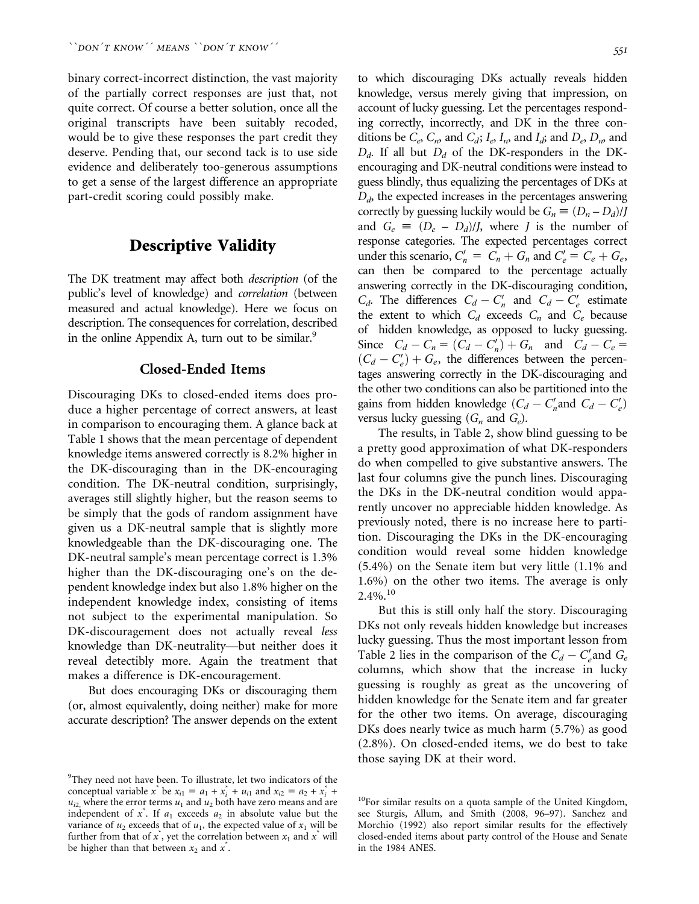binary correct-incorrect distinction, the vast majority of the partially correct responses are just that, not quite correct. Of course a better solution, once all the original transcripts have been suitably recoded, would be to give these responses the part credit they deserve. Pending that, our second tack is to use side evidence and deliberately too-generous assumptions to get a sense of the largest difference an appropriate part-credit scoring could possibly make.

## Descriptive Validity

The DK treatment may affect both description (of the public's level of knowledge) and correlation (between measured and actual knowledge). Here we focus on description. The consequences for correlation, described in the online Appendix A, turn out to be similar.<sup>9</sup>

#### Closed-Ended Items

Discouraging DKs to closed-ended items does produce a higher percentage of correct answers, at least in comparison to encouraging them. A glance back at Table 1 shows that the mean percentage of dependent knowledge items answered correctly is 8.2% higher in the DK-discouraging than in the DK-encouraging condition. The DK-neutral condition, surprisingly, averages still slightly higher, but the reason seems to be simply that the gods of random assignment have given us a DK-neutral sample that is slightly more knowledgeable than the DK-discouraging one. The DK-neutral sample's mean percentage correct is 1.3% higher than the DK-discouraging one's on the dependent knowledge index but also 1.8% higher on the independent knowledge index, consisting of items not subject to the experimental manipulation. So DK-discouragement does not actually reveal *less* knowledge than DK-neutrality—but neither does it reveal detectibly more. Again the treatment that makes a difference is DK-encouragement.

But does encouraging DKs or discouraging them (or, almost equivalently, doing neither) make for more accurate description? The answer depends on the extent

to which discouraging DKs actually reveals hidden knowledge, versus merely giving that impression, on account of lucky guessing. Let the percentages responding correctly, incorrectly, and DK in the three conditions be  $C_e$ ,  $C_p$ , and  $C_d$ ;  $I_e$ ,  $I_p$ , and  $I_d$ ; and  $D_e$ ,  $D_p$ , and  $D_d$ . If all but  $D_d$  of the DK-responders in the DKencouraging and DK-neutral conditions were instead to guess blindly, thus equalizing the percentages of DKs at  $D_d$ , the expected increases in the percentages answering correctly by guessing luckily would be  $G_n \equiv (D_n - D_d)/J$ and  $G_e \equiv (D_e - D_d)/J$ , where J is the number of response categories. The expected percentages correct under this scenario,  $C'_n = C_n + G_n$  and  $C'_e = C_e + G_e$ ,

can then be compared to the percentage actually answering correctly in the DK-discouraging condition,  $C_d$ . The differences  $C_d - C'_n$  and  $C_d - C'_e$  estimate the extent to which  $C_d$  exceeds  $C_n$  and  $C_e$  because of hidden knowledge, as opposed to lucky guessing. Since  $C_d - C_n = (C_d - C'_n) + G_n$  and  $C_d - C_e =$  $(C_d - C'_e) + G_e$ , the differences between the percentages answering correctly in the DK-discouraging and the other two conditions can also be partitioned into the gains from hidden knowledge  $(C_d - C'_n)$  and  $C_d - C'_e$ versus lucky guessing  $(G_n \text{ and } G_e)$ .

The results, in Table 2, show blind guessing to be a pretty good approximation of what DK-responders do when compelled to give substantive answers. The last four columns give the punch lines. Discouraging the DKs in the DK-neutral condition would apparently uncover no appreciable hidden knowledge. As previously noted, there is no increase here to partition. Discouraging the DKs in the DK-encouraging condition would reveal some hidden knowledge (5.4%) on the Senate item but very little (1.1% and 1.6%) on the other two items. The average is only 2.4%.10

But this is still only half the story. Discouraging DKs not only reveals hidden knowledge but increases lucky guessing. Thus the most important lesson from Table 2 lies in the comparison of the  $C_d - C_e'$  and  $G_e$ columns, which show that the increase in lucky guessing is roughly as great as the uncovering of hidden knowledge for the Senate item and far greater for the other two items. On average, discouraging DKs does nearly twice as much harm (5.7%) as good (2.8%). On closed-ended items, we do best to take those saying DK at their word.

<sup>&</sup>lt;sup>9</sup>They need not have been. To illustrate, let two indicators of the conceptual variable  $x^*$  be  $x_{i1} = a_1 + x_i^* + u_{i1}$  and  $x_{i2} = a_2 + x_i^* + ...$  $u_{i2}$ , where the error terms  $u_1$  and  $u_2$  both have zero means and are independent of  $x^*$ . If  $a_1$  exceeds  $a_2$  in absolute value but the variance of  $u_2$  exceeds that of  $u_1$ , the expected value of  $x_1$  will be further from that of  $x^*$ , yet the correlation between  $x_1$  and  $x^*$  will be higher than that between  $x_2$  and  $x^*$ .

 $10$ For similar results on a quota sample of the United Kingdom, see Sturgis, Allum, and Smith (2008, 96–97). Sanchez and Morchio (1992) also report similar results for the effectively closed-ended items about party control of the House and Senate in the 1984 ANES.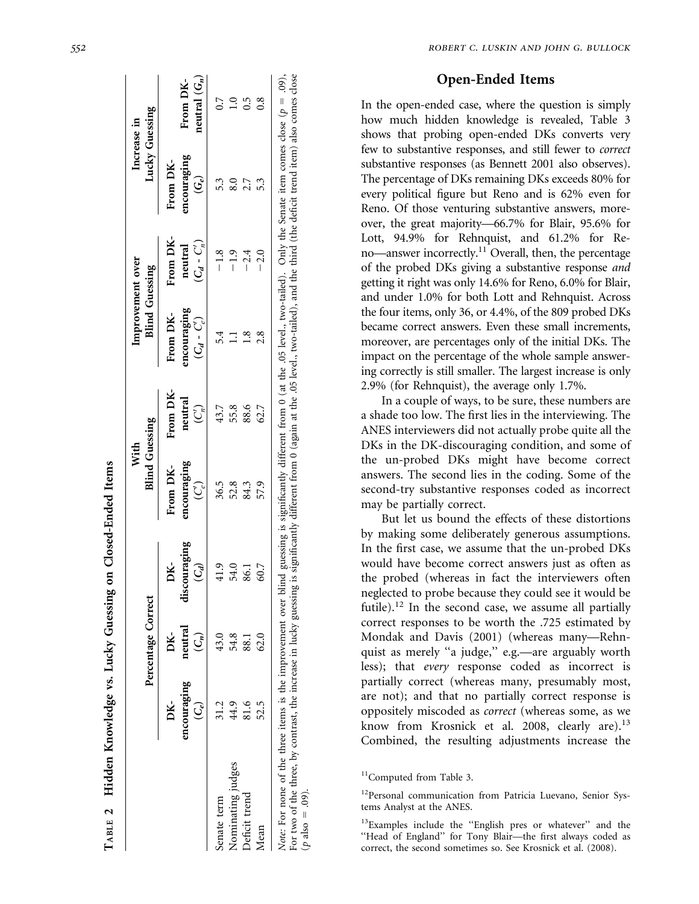|                   |                                     | Percentage Correct              |                              | <b>Blind Guessing</b><br>With             |                                       | Improvement over<br><b>Blind Guessing</b> |                                       | Lucky Guessing                             | Increase in                 |
|-------------------|-------------------------------------|---------------------------------|------------------------------|-------------------------------------------|---------------------------------------|-------------------------------------------|---------------------------------------|--------------------------------------------|-----------------------------|
|                   | encouraging<br>$\widehat{C}$<br>DK- | neutral<br>DK-<br>$\widehat{C}$ | discouraging<br>DK-<br>$C_d$ | encouraging<br>From DK-<br>$\binom{C}{2}$ | From DK-<br>neutral<br>$\binom{C}{r}$ | encouraging<br>From DK-<br>$(C_d - C'_e)$ | From DK-<br>$(C_d - C'_n)$<br>neutral | encouraging<br>From DK-<br>$\widehat{G_e}$ | neutral $(G_n)$<br>From DK- |
| senate term       | 31.2                                | 43.0                            | 41.9                         | 36.5                                      | 43.7                                  | 54                                        | $-1.8$                                | 53                                         |                             |
| Nominating judges | 44.9                                | 54.8                            | 54.0                         | 52.8                                      | 55.8                                  |                                           | $-1.9$                                | $\rm ^{8.0}$                               | $\overline{0}$              |
| Deficit trend     | 81.6                                | 88.1                            | 86.1                         | 84.3                                      | 88.6                                  | $\ddot{\text{8}}$ .                       | $-2.4$                                | 2.7                                        | 0.5                         |
| Mean              | 52.5                                | 62.0                            | 60.7                         | 57.9                                      | 62.7                                  | 2.8                                       | $-2.0$                                | 5.3                                        | $\frac{8}{2}$               |

TABLE 2 Hidden Knowledge vs. Lucky Guessing on Closed-Ended Items

TABLE 2 Hidden Knowledge vs. Lucky Guessing on Closed-Ended Items

#### Open-Ended Items

In the open-ended case, where the question is simply how much hidden knowledge is revealed, Table 3 shows that probing open-ended DKs converts very few to substantive responses, and still fewer to correct substantive responses (as Bennett 2001 also observes). The percentage of DKs remaining DKs exceeds 80% for every political figure but Reno and is 62% even for Reno. Of those venturing substantive answers, moreover, the great majority—66.7% for Blair, 95.6% for Lott, 94.9% for Rehnquist, and 61.2% for Reno—answer incorrectly.11 Overall, then, the percentage of the probed DKs giving a substantive response and getting it right was only 14.6% for Reno, 6.0% for Blair, and under 1.0% for both Lott and Rehnquist. Across the four items, only 36, or 4.4%, of the 809 probed DKs became correct answers. Even these small increments, moreover, are percentages only of the initial DKs. The impact on the percentage of the whole sample answering correctly is still smaller. The largest increase is only 2.9% (for Rehnquist), the average only 1.7%.

In a couple of ways, to be sure, these numbers are a shade too low. The first lies in the interviewing. The ANES interviewers did not actually probe quite all the DKs in the DK-discouraging condition, and some of the un-probed DKs might have become correct answers. The second lies in the coding. Some of the second-try substantive responses coded as incorrect may be partially correct.

But let us bound the effects of these distortions by making some deliberately generous assumptions. In the first case, we assume that the un-probed DKs would have become correct answers just as often as the probed (whereas in fact the interviewers often neglected to probe because they could see it would be futile).<sup>12</sup> In the second case, we assume all partially correct responses to be worth the .725 estimated by Mondak and Davis (2001) (whereas many—Rehnquist as merely "a judge," e.g.—are arguably worth less); that every response coded as incorrect is partially correct (whereas many, presumably most, are not); and that no partially correct response is oppositely miscoded as correct (whereas some, as we know from Krosnick et al. 2008, clearly are).<sup>13</sup> Combined, the resulting adjustments increase the

 $(p \text{ also } = .09).$ 

also =  $.09$ ).

 $\theta$ 

 $11$ Computed from Table 3.

<sup>&</sup>lt;sup>12</sup>Personal communication from Patricia Luevano, Senior Systems Analyst at the ANES.

<sup>13</sup>Examples include the ''English pres or whatever'' and the ''Head of England'' for Tony Blair—the first always coded as correct, the second sometimes so. See Krosnick et al. (2008).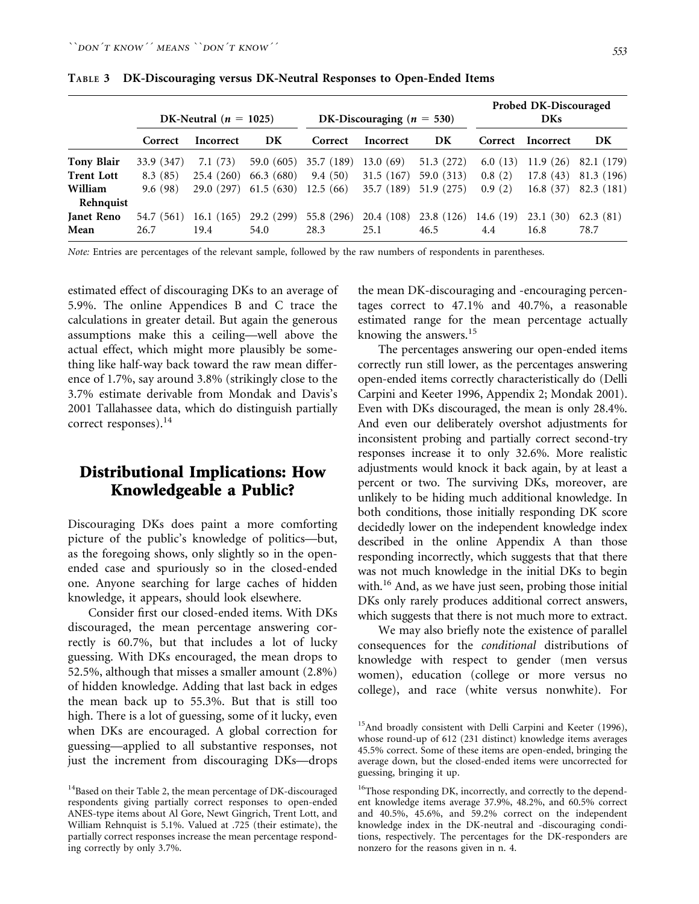|                   | DK-Neutral ( $n = 1025$ ) |           |            | DK-Discouraging $(n = 530)$ |            |            | Probed DK-Discouraged<br><b>DKs</b> |                  |            |
|-------------------|---------------------------|-----------|------------|-----------------------------|------------|------------|-------------------------------------|------------------|------------|
|                   | Correct                   | Incorrect | DK         | Correct                     | Incorrect  | DK         | Correct                             | <b>Incorrect</b> | DK         |
| <b>Tony Blair</b> | 33.9 (347)                | 7.1(73)   | 59.0 (605) | 35.7 (189)                  | 13.0(69)   | 51.3 (272) | 6.0(13)                             | 11.9(26)         | 82.1 (179) |
| <b>Trent Lott</b> | 8.3(85)                   | 25.4(260) | 66.3(680)  | 9.4(50)                     | 31.5(167)  | 59.0 (313) | 0.8(2)                              | 17.8(43)         | 81.3 (196) |
| William           | 9.6(98)                   | 29.0(297) | 61.5(630)  | 12.5(66)                    | 35.7 (189) | 51.9 (275) | 0.9(2)                              | 16.8(37)         | 82.3 (181) |
| Rehnquist         |                           |           |            |                             |            |            |                                     |                  |            |
| Janet Reno        | 54.7 (561)                | 16.1(165) | 29.2 (299) | 55.8 (296)                  | 20.4(108)  | 23.8 (126) | 14.6 (19)                           | 23.1(30)         | 62.3(81)   |
| Mean              | 26.7                      | 19.4      | 54.0       | 28.3                        | 25.1       | 46.5       | 4.4                                 | 16.8             | 78.7       |

TABLE 3 DK-Discouraging versus DK-Neutral Responses to Open-Ended Items

Note: Entries are percentages of the relevant sample, followed by the raw numbers of respondents in parentheses.

estimated effect of discouraging DKs to an average of 5.9%. The online Appendices B and C trace the calculations in greater detail. But again the generous assumptions make this a ceiling—well above the actual effect, which might more plausibly be something like half-way back toward the raw mean difference of 1.7%, say around 3.8% (strikingly close to the 3.7% estimate derivable from Mondak and Davis's 2001 Tallahassee data, which do distinguish partially correct responses).<sup>14</sup>

# Distributional Implications: How Knowledgeable a Public?

Discouraging DKs does paint a more comforting picture of the public's knowledge of politics—but, as the foregoing shows, only slightly so in the openended case and spuriously so in the closed-ended one. Anyone searching for large caches of hidden knowledge, it appears, should look elsewhere.

Consider first our closed-ended items. With DKs discouraged, the mean percentage answering correctly is 60.7%, but that includes a lot of lucky guessing. With DKs encouraged, the mean drops to 52.5%, although that misses a smaller amount (2.8%) of hidden knowledge. Adding that last back in edges the mean back up to 55.3%. But that is still too high. There is a lot of guessing, some of it lucky, even when DKs are encouraged. A global correction for guessing—applied to all substantive responses, not just the increment from discouraging DKs—drops

the mean DK-discouraging and -encouraging percentages correct to 47.1% and 40.7%, a reasonable estimated range for the mean percentage actually knowing the answers.<sup>15</sup>

The percentages answering our open-ended items correctly run still lower, as the percentages answering open-ended items correctly characteristically do (Delli Carpini and Keeter 1996, Appendix 2; Mondak 2001). Even with DKs discouraged, the mean is only 28.4%. And even our deliberately overshot adjustments for inconsistent probing and partially correct second-try responses increase it to only 32.6%. More realistic adjustments would knock it back again, by at least a percent or two. The surviving DKs, moreover, are unlikely to be hiding much additional knowledge. In both conditions, those initially responding DK score decidedly lower on the independent knowledge index described in the online Appendix A than those responding incorrectly, which suggests that that there was not much knowledge in the initial DKs to begin with.<sup>16</sup> And, as we have just seen, probing those initial DKs only rarely produces additional correct answers, which suggests that there is not much more to extract.

We may also briefly note the existence of parallel consequences for the conditional distributions of knowledge with respect to gender (men versus women), education (college or more versus no college), and race (white versus nonwhite). For

<sup>&</sup>lt;sup>14</sup>Based on their Table 2, the mean percentage of DK-discouraged respondents giving partially correct responses to open-ended ANES-type items about Al Gore, Newt Gingrich, Trent Lott, and William Rehnquist is 5.1%. Valued at .725 (their estimate), the partially correct responses increase the mean percentage responding correctly by only 3.7%.

 $15$ And broadly consistent with Delli Carpini and Keeter (1996), whose round-up of 612 (231 distinct) knowledge items averages 45.5% correct. Some of these items are open-ended, bringing the average down, but the closed-ended items were uncorrected for guessing, bringing it up.

<sup>&</sup>lt;sup>16</sup>Those responding DK, incorrectly, and correctly to the dependent knowledge items average 37.9%, 48.2%, and 60.5% correct and 40.5%, 45.6%, and 59.2% correct on the independent knowledge index in the DK-neutral and -discouraging conditions, respectively. The percentages for the DK-responders are nonzero for the reasons given in n. 4.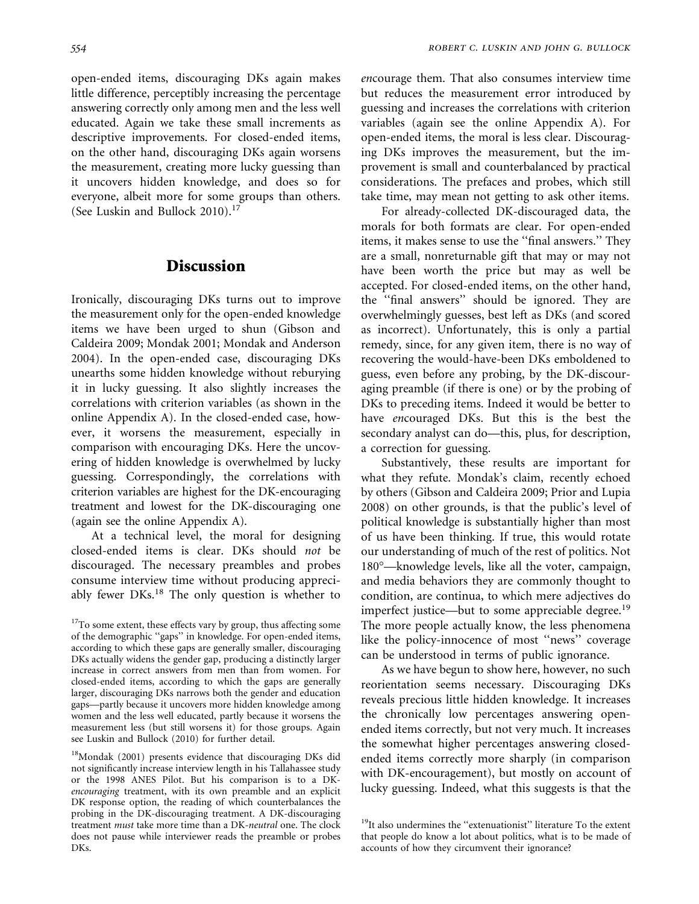open-ended items, discouraging DKs again makes little difference, perceptibly increasing the percentage answering correctly only among men and the less well educated. Again we take these small increments as descriptive improvements. For closed-ended items, on the other hand, discouraging DKs again worsens the measurement, creating more lucky guessing than it uncovers hidden knowledge, and does so for everyone, albeit more for some groups than others. (See Luskin and Bullock 2010).<sup>17</sup>

#### **Discussion**

Ironically, discouraging DKs turns out to improve the measurement only for the open-ended knowledge items we have been urged to shun (Gibson and Caldeira 2009; Mondak 2001; Mondak and Anderson 2004). In the open-ended case, discouraging DKs unearths some hidden knowledge without reburying it in lucky guessing. It also slightly increases the correlations with criterion variables (as shown in the online Appendix A). In the closed-ended case, however, it worsens the measurement, especially in comparison with encouraging DKs. Here the uncovering of hidden knowledge is overwhelmed by lucky guessing. Correspondingly, the correlations with criterion variables are highest for the DK-encouraging treatment and lowest for the DK-discouraging one (again see the online Appendix A).

At a technical level, the moral for designing closed-ended items is clear. DKs should not be discouraged. The necessary preambles and probes consume interview time without producing appreciably fewer DKs.<sup>18</sup> The only question is whether to

encourage them. That also consumes interview time but reduces the measurement error introduced by guessing and increases the correlations with criterion variables (again see the online Appendix A). For open-ended items, the moral is less clear. Discouraging DKs improves the measurement, but the improvement is small and counterbalanced by practical considerations. The prefaces and probes, which still

take time, may mean not getting to ask other items. For already-collected DK-discouraged data, the morals for both formats are clear. For open-ended items, it makes sense to use the ''final answers.'' They are a small, nonreturnable gift that may or may not have been worth the price but may as well be accepted. For closed-ended items, on the other hand, the ''final answers'' should be ignored. They are overwhelmingly guesses, best left as DKs (and scored as incorrect). Unfortunately, this is only a partial remedy, since, for any given item, there is no way of recovering the would-have-been DKs emboldened to guess, even before any probing, by the DK-discouraging preamble (if there is one) or by the probing of DKs to preceding items. Indeed it would be better to have encouraged DKs. But this is the best the secondary analyst can do—this, plus, for description, a correction for guessing.

Substantively, these results are important for what they refute. Mondak's claim, recently echoed by others (Gibson and Caldeira 2009; Prior and Lupia 2008) on other grounds, is that the public's level of political knowledge is substantially higher than most of us have been thinking. If true, this would rotate our understanding of much of the rest of politics. Not 180°—knowledge levels, like all the voter, campaign, and media behaviors they are commonly thought to condition, are continua, to which mere adjectives do imperfect justice—but to some appreciable degree.<sup>19</sup> The more people actually know, the less phenomena like the policy-innocence of most ''news'' coverage can be understood in terms of public ignorance.

As we have begun to show here, however, no such reorientation seems necessary. Discouraging DKs reveals precious little hidden knowledge. It increases the chronically low percentages answering openended items correctly, but not very much. It increases the somewhat higher percentages answering closedended items correctly more sharply (in comparison with DK-encouragement), but mostly on account of lucky guessing. Indeed, what this suggests is that the

 $17$ To some extent, these effects vary by group, thus affecting some of the demographic ''gaps'' in knowledge. For open-ended items, according to which these gaps are generally smaller, discouraging DKs actually widens the gender gap, producing a distinctly larger increase in correct answers from men than from women. For closed-ended items, according to which the gaps are generally larger, discouraging DKs narrows both the gender and education gaps—partly because it uncovers more hidden knowledge among women and the less well educated, partly because it worsens the measurement less (but still worsens it) for those groups. Again see Luskin and Bullock (2010) for further detail.

<sup>&</sup>lt;sup>18</sup>Mondak (2001) presents evidence that discouraging DKs did not significantly increase interview length in his Tallahassee study or the 1998 ANES Pilot. But his comparison is to a DKencouraging treatment, with its own preamble and an explicit DK response option, the reading of which counterbalances the probing in the DK-discouraging treatment. A DK-discouraging treatment must take more time than a DK-neutral one. The clock does not pause while interviewer reads the preamble or probes DKs.

<sup>&</sup>lt;sup>19</sup>It also undermines the "extenuationist" literature To the extent that people do know a lot about politics, what is to be made of accounts of how they circumvent their ignorance?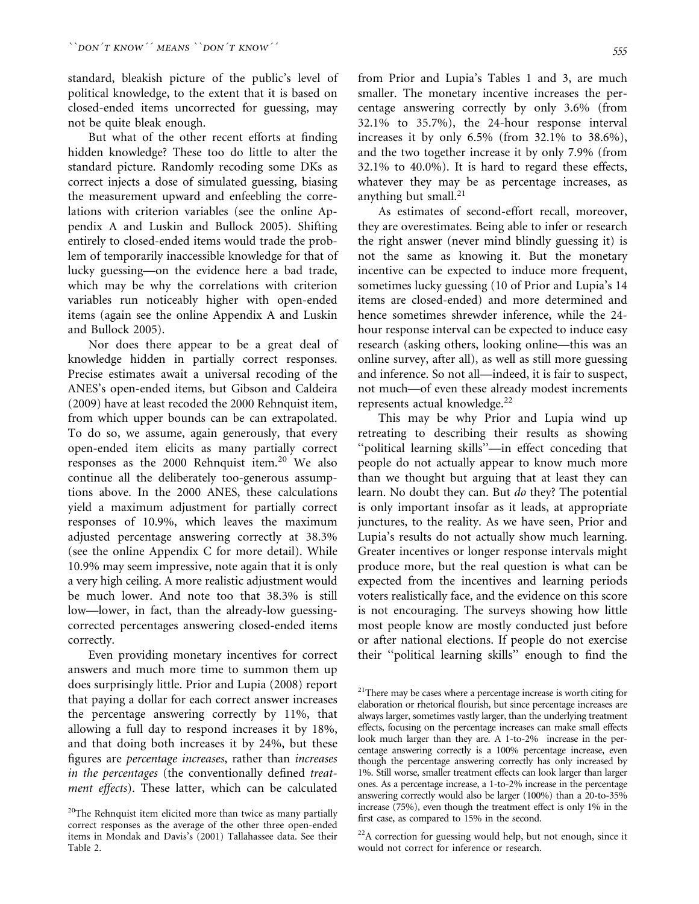standard, bleakish picture of the public's level of political knowledge, to the extent that it is based on closed-ended items uncorrected for guessing, may not be quite bleak enough.

But what of the other recent efforts at finding hidden knowledge? These too do little to alter the standard picture. Randomly recoding some DKs as correct injects a dose of simulated guessing, biasing the measurement upward and enfeebling the correlations with criterion variables (see the online Appendix A and Luskin and Bullock 2005). Shifting entirely to closed-ended items would trade the problem of temporarily inaccessible knowledge for that of lucky guessing—on the evidence here a bad trade, which may be why the correlations with criterion variables run noticeably higher with open-ended items (again see the online Appendix A and Luskin and Bullock 2005).

Nor does there appear to be a great deal of knowledge hidden in partially correct responses. Precise estimates await a universal recoding of the ANES's open-ended items, but Gibson and Caldeira (2009) have at least recoded the 2000 Rehnquist item, from which upper bounds can be can extrapolated. To do so, we assume, again generously, that every open-ended item elicits as many partially correct responses as the 2000 Rehnquist item.<sup>20</sup> We also continue all the deliberately too-generous assumptions above. In the 2000 ANES, these calculations yield a maximum adjustment for partially correct responses of 10.9%, which leaves the maximum adjusted percentage answering correctly at 38.3% (see the online Appendix C for more detail). While 10.9% may seem impressive, note again that it is only a very high ceiling. A more realistic adjustment would be much lower. And note too that 38.3% is still low—lower, in fact, than the already-low guessingcorrected percentages answering closed-ended items correctly.

Even providing monetary incentives for correct answers and much more time to summon them up does surprisingly little. Prior and Lupia (2008) report that paying a dollar for each correct answer increases the percentage answering correctly by 11%, that allowing a full day to respond increases it by 18%, and that doing both increases it by 24%, but these figures are percentage increases, rather than increases in the percentages (the conventionally defined treatment effects). These latter, which can be calculated

from Prior and Lupia's Tables 1 and 3, are much smaller. The monetary incentive increases the percentage answering correctly by only 3.6% (from 32.1% to 35.7%), the 24-hour response interval increases it by only 6.5% (from 32.1% to 38.6%), and the two together increase it by only 7.9% (from 32.1% to 40.0%). It is hard to regard these effects, whatever they may be as percentage increases, as anything but small.<sup>21</sup>

As estimates of second-effort recall, moreover, they are overestimates. Being able to infer or research the right answer (never mind blindly guessing it) is not the same as knowing it. But the monetary incentive can be expected to induce more frequent, sometimes lucky guessing (10 of Prior and Lupia's 14 items are closed-ended) and more determined and hence sometimes shrewder inference, while the 24 hour response interval can be expected to induce easy research (asking others, looking online—this was an online survey, after all), as well as still more guessing and inference. So not all—indeed, it is fair to suspect, not much—of even these already modest increments represents actual knowledge.<sup>22</sup>

This may be why Prior and Lupia wind up retreating to describing their results as showing ''political learning skills''—in effect conceding that people do not actually appear to know much more than we thought but arguing that at least they can learn. No doubt they can. But do they? The potential is only important insofar as it leads, at appropriate junctures, to the reality. As we have seen, Prior and Lupia's results do not actually show much learning. Greater incentives or longer response intervals might produce more, but the real question is what can be expected from the incentives and learning periods voters realistically face, and the evidence on this score is not encouraging. The surveys showing how little most people know are mostly conducted just before or after national elections. If people do not exercise their ''political learning skills'' enough to find the

 $20$ <sup>20</sup>The Rehnquist item elicited more than twice as many partially correct responses as the average of the other three open-ended items in Mondak and Davis's (2001) Tallahassee data. See their Table 2.

<sup>&</sup>lt;sup>21</sup>There may be cases where a percentage increase is worth citing for elaboration or rhetorical flourish, but since percentage increases are always larger, sometimes vastly larger, than the underlying treatment effects, focusing on the percentage increases can make small effects look much larger than they are. A 1-to-2% increase in the percentage answering correctly is a 100% percentage increase, even though the percentage answering correctly has only increased by 1%. Still worse, smaller treatment effects can look larger than larger ones. As a percentage increase, a 1-to-2% increase in the percentage answering correctly would also be larger (100%) than a 20-to-35% increase (75%), even though the treatment effect is only 1% in the first case, as compared to 15% in the second.

 $22A$  correction for guessing would help, but not enough, since it would not correct for inference or research.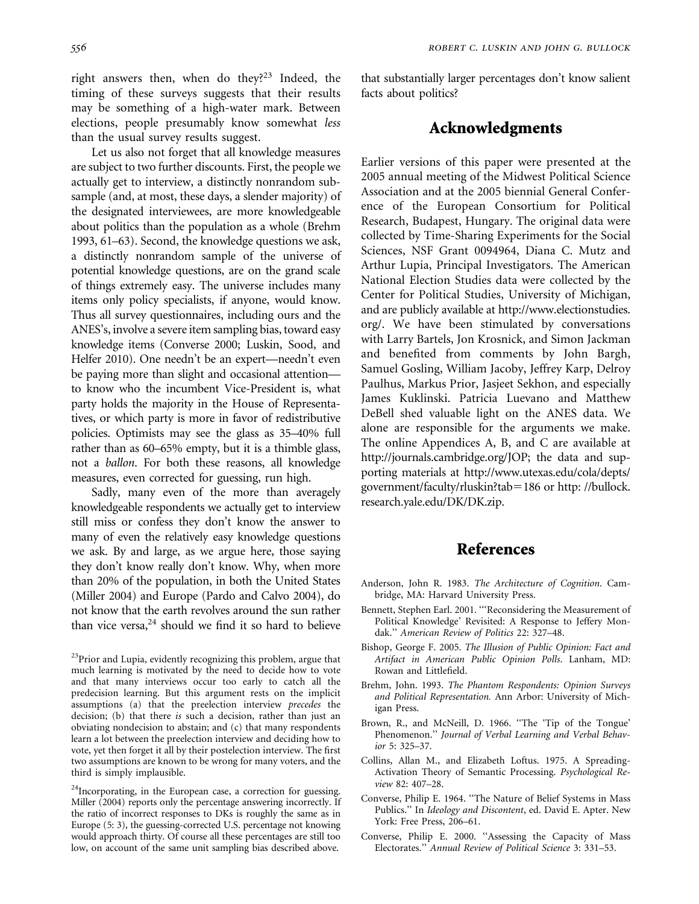right answers then, when do they?<sup>23</sup> Indeed, the timing of these surveys suggests that their results may be something of a high-water mark. Between elections, people presumably know somewhat less than the usual survey results suggest.

Let us also not forget that all knowledge measures are subject to two further discounts. First, the people we actually get to interview, a distinctly nonrandom subsample (and, at most, these days, a slender majority) of the designated interviewees, are more knowledgeable about politics than the population as a whole (Brehm 1993, 61–63). Second, the knowledge questions we ask, a distinctly nonrandom sample of the universe of potential knowledge questions, are on the grand scale of things extremely easy. The universe includes many items only policy specialists, if anyone, would know. Thus all survey questionnaires, including ours and the ANES's, involve a severe item sampling bias, toward easy knowledge items (Converse 2000; Luskin, Sood, and Helfer 2010). One needn't be an expert—needn't even be paying more than slight and occasional attention to know who the incumbent Vice-President is, what party holds the majority in the House of Representatives, or which party is more in favor of redistributive policies. Optimists may see the glass as 35–40% full rather than as 60–65% empty, but it is a thimble glass, not a ballon. For both these reasons, all knowledge measures, even corrected for guessing, run high.

Sadly, many even of the more than averagely knowledgeable respondents we actually get to interview still miss or confess they don't know the answer to many of even the relatively easy knowledge questions we ask. By and large, as we argue here, those saying they don't know really don't know. Why, when more than 20% of the population, in both the United States (Miller 2004) and Europe (Pardo and Calvo 2004), do not know that the earth revolves around the sun rather than vice versa, $24$  should we find it so hard to believe that substantially larger percentages don't know salient facts about politics?

# Acknowledgments

Earlier versions of this paper were presented at the 2005 annual meeting of the Midwest Political Science Association and at the 2005 biennial General Conference of the European Consortium for Political Research, Budapest, Hungary. The original data were collected by Time-Sharing Experiments for the Social Sciences, NSF Grant 0094964, Diana C. Mutz and Arthur Lupia, Principal Investigators. The American National Election Studies data were collected by the Center for Political Studies, University of Michigan, and are publicly available at http://www.electionstudies. org/. We have been stimulated by conversations with Larry Bartels, Jon Krosnick, and Simon Jackman and benefited from comments by John Bargh, Samuel Gosling, William Jacoby, Jeffrey Karp, Delroy Paulhus, Markus Prior, Jasjeet Sekhon, and especially James Kuklinski. Patricia Luevano and Matthew DeBell shed valuable light on the ANES data. We alone are responsible for the arguments we make. The online Appendices A, B, and C are available at http://journals.cambridge.org/JOP; the data and supporting materials at http://www.utexas.edu/cola/depts/ government/faculty/rluskin?tab=186 or http: //bullock. research.yale.edu/DK/DK.zip.

## References

- Anderson, John R. 1983. The Architecture of Cognition. Cambridge, MA: Harvard University Press.
- Bennett, Stephen Earl. 2001. '''Reconsidering the Measurement of Political Knowledge' Revisited: A Response to Jeffery Mondak.'' American Review of Politics 22: 327–48.
- Bishop, George F. 2005. The Illusion of Public Opinion: Fact and Artifact in American Public Opinion Polls. Lanham, MD: Rowan and Littlefield.
- Brehm, John. 1993. The Phantom Respondents: Opinion Surveys and Political Representation. Ann Arbor: University of Michigan Press.
- Brown, R., and McNeill, D. 1966. ''The 'Tip of the Tongue' Phenomenon." Journal of Verbal Learning and Verbal Behavior 5: 325–37.
- Collins, Allan M., and Elizabeth Loftus. 1975. A Spreading-Activation Theory of Semantic Processing. Psychological Review 82: 407–28.
- Converse, Philip E. 1964. ''The Nature of Belief Systems in Mass Publics." In Ideology and Discontent, ed. David E. Apter. New York: Free Press, 206–61.
- Converse, Philip E. 2000. ''Assessing the Capacity of Mass Electorates.'' Annual Review of Political Science 3: 331–53.

<sup>&</sup>lt;sup>23</sup>Prior and Lupia, evidently recognizing this problem, argue that much learning is motivated by the need to decide how to vote and that many interviews occur too early to catch all the predecision learning. But this argument rests on the implicit assumptions (a) that the preelection interview precedes the decision; (b) that there is such a decision, rather than just an obviating nondecision to abstain; and (c) that many respondents learn a lot between the preelection interview and deciding how to vote, yet then forget it all by their postelection interview. The first two assumptions are known to be wrong for many voters, and the third is simply implausible.

<sup>&</sup>lt;sup>24</sup>Incorporating, in the European case, a correction for guessing. Miller (2004) reports only the percentage answering incorrectly. If the ratio of incorrect responses to DKs is roughly the same as in Europe (5: 3), the guessing-corrected U.S. percentage not knowing would approach thirty. Of course all these percentages are still too low, on account of the same unit sampling bias described above.